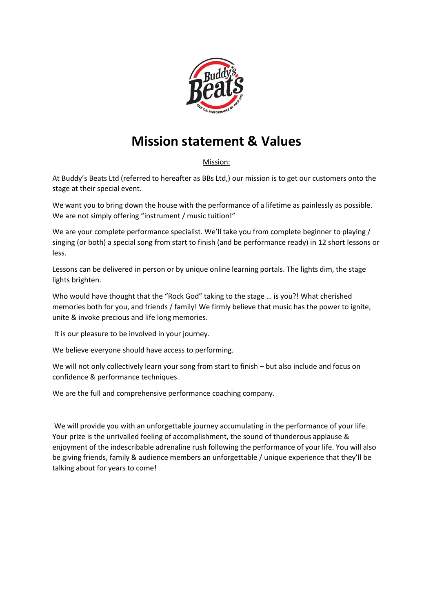

## **Mission statement & Values**

Mission:

At Buddy's Beats Ltd (referred to hereafter as BBs Ltd,) our mission is to get our customers onto the stage at their special event.

We want you to bring down the house with the performance of a lifetime as painlessly as possible. We are not simply offering "instrument / music tuition!"

We are your complete performance specialist. We'll take you from complete beginner to playing / singing (or both) a special song from start to finish (and be performance ready) in 12 short lessons or less.

Lessons can be delivered in person or by unique online learning portals. The lights dim, the stage lights brighten.

Who would have thought that the "Rock God" taking to the stage … is you?! What cherished memories both for you, and friends / family! We firmly believe that music has the power to ignite, unite & invoke precious and life long memories.

It is our pleasure to be involved in your journey.

We believe everyone should have access to performing.

We will not only collectively learn your song from start to finish – but also include and focus on confidence & performance techniques.

We are the full and comprehensive performance coaching company.

We will provide you with an unforgettable journey accumulating in the performance of your life. Your prize is the unrivalled feeling of accomplishment, the sound of thunderous applause & enjoyment of the indescribable adrenaline rush following the performance of your life. You will also be giving friends, family & audience members an unforgettable / unique experience that they'll be talking about for years to come!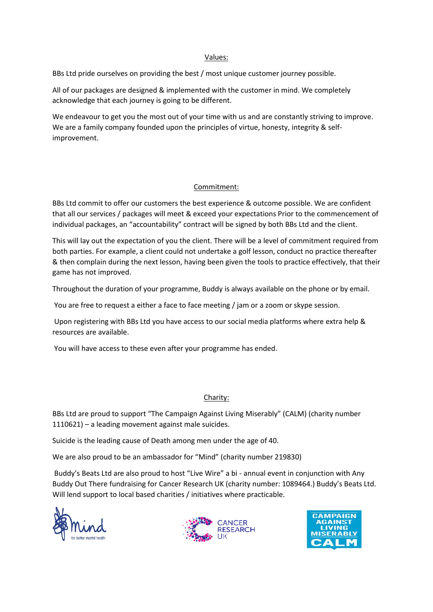#### Values:

BBs Ltd pride ourselves on providing the best / most unique customer journey possible.

All of our packages are designed & implemented with the customer in mind. We completely acknowledge that each journey is going to be different.

We endeavour to get you the most out of your time with us and are constantly striving to improve. We are a family company founded upon the principles of virtue, honesty, integrity & selfimprovement.

#### Commitment:

BBs Ltd commit to offer our customers the best experience & outcome possible. We are confident that all our services / packages will meet & exceed your expectations Prior to the commencement of individual packages, an "accountability" contract will be signed by both BBs Ltd and the client.

This will lay out the expectation of you the client. There will be a level of commitment required from both parties. For example, a client could not undertake a golf lesson, conduct no practice thereafter & then complain during the next lesson, having been given the tools to practice effectively, that their game has not improved.

Throughout the duration of your programme, Buddy is always available on the phone or by email.

You are free to request a either a face to face meeting / jam or a zoom or skype session.

Upon registering with BBs Ltd you have access to our social media platforms where extra help & resources are available.

You will have access to these even after your programme has ended.

#### Charity:

BBs Ltd are proud to support "The Campaign Against Living Miserably" (CALM) (charity number 1110621) – a leading movement against male suicides.

Suicide is the leading cause of Death among men under the age of 40.

We are also proud to be an ambassador for "Mind" (charity number 219830)

Buddy's Beats Ltd are also proud to host "Live Wire" a bi - annual event in conjunction with Any Buddy Out There fundraising for Cancer Research UK (charity number: 1089464.) Buddy's Beats Ltd. Will lend support to local based charities / initiatives where practicable.





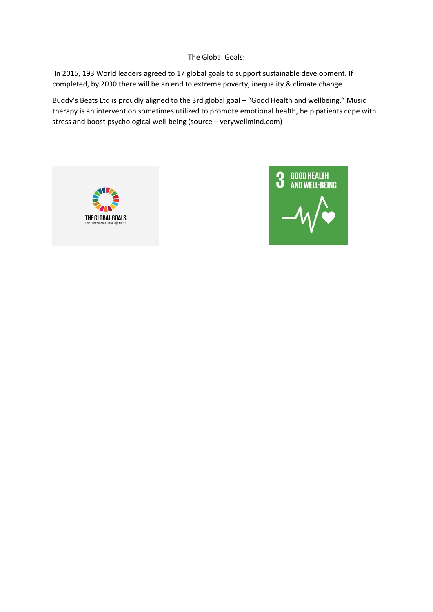#### The Global Goals:

In 2015, 193 World leaders agreed to 17 global goals to support sustainable development. If completed, by 2030 there will be an end to extreme poverty, inequality & climate change.

Buddy's Beats Ltd is proudly aligned to the 3rd global goal – "Good Health and wellbeing." Music therapy is an intervention sometimes utilized to promote emotional health, help patients cope with stress and boost psychological well-being (source – verywellmind.com)



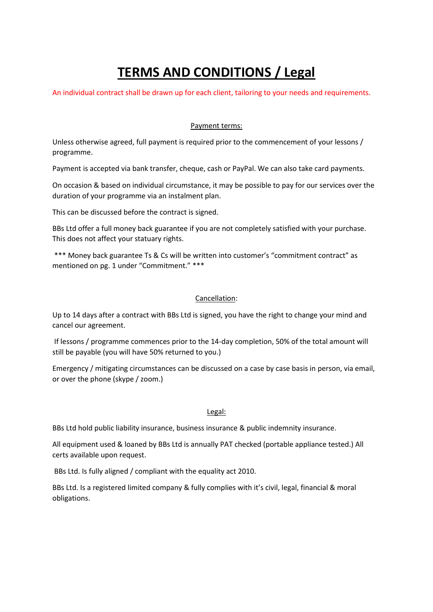# **TERMS AND CONDITIONS / Legal**

An individual contract shall be drawn up for each client, tailoring to your needs and requirements.

#### Payment terms:

Unless otherwise agreed, full payment is required prior to the commencement of your lessons / programme.

Payment is accepted via bank transfer, cheque, cash or PayPal. We can also take card payments.

On occasion & based on individual circumstance, it may be possible to pay for our services over the duration of your programme via an instalment plan.

This can be discussed before the contract is signed.

BBs Ltd offer a full money back guarantee if you are not completely satisfied with your purchase. This does not affect your statuary rights.

\*\*\* Money back guarantee Ts & Cs will be written into customer's "commitment contract" as mentioned on pg. 1 under "Commitment." \*\*\*

#### Cancellation:

Up to 14 days after a contract with BBs Ltd is signed, you have the right to change your mind and cancel our agreement.

If lessons / programme commences prior to the 14-day completion, 50% of the total amount will still be payable (you will have 50% returned to you.)

Emergency / mitigating circumstances can be discussed on a case by case basis in person, via email, or over the phone (skype / zoom.)

#### Legal:

BBs Ltd hold public liability insurance, business insurance & public indemnity insurance.

All equipment used & loaned by BBs Ltd is annually PAT checked (portable appliance tested.) All certs available upon request.

BBs Ltd. Is fully aligned / compliant with the equality act 2010.

BBs Ltd. Is a registered limited company & fully complies with it's civil, legal, financial & moral obligations.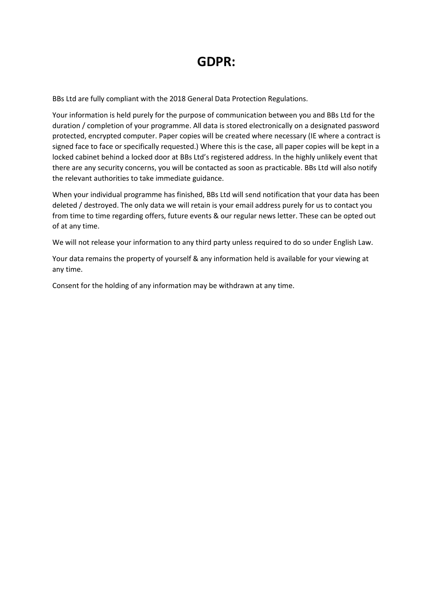### **GDPR:**

BBs Ltd are fully compliant with the 2018 General Data Protection Regulations.

Your information is held purely for the purpose of communication between you and BBs Ltd for the duration / completion of your programme. All data is stored electronically on a designated password protected, encrypted computer. Paper copies will be created where necessary (IE where a contract is signed face to face or specifically requested.) Where this is the case, all paper copies will be kept in a locked cabinet behind a locked door at BBs Ltd's registered address. In the highly unlikely event that there are any security concerns, you will be contacted as soon as practicable. BBs Ltd will also notify the relevant authorities to take immediate guidance.

When your individual programme has finished, BBs Ltd will send notification that your data has been deleted / destroyed. The only data we will retain is your email address purely for us to contact you from time to time regarding offers, future events & our regular news letter. These can be opted out of at any time.

We will not release your information to any third party unless required to do so under English Law.

Your data remains the property of yourself & any information held is available for your viewing at any time.

Consent for the holding of any information may be withdrawn at any time.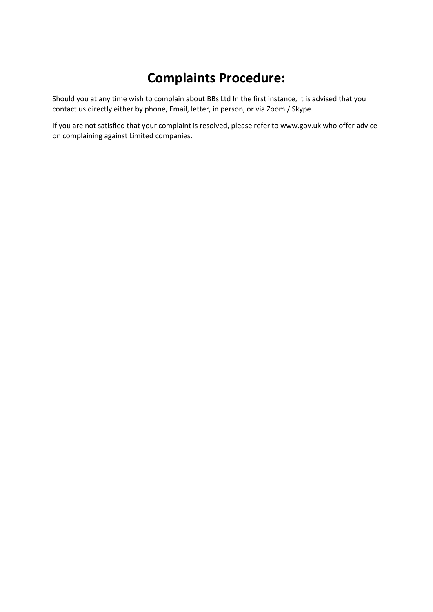## **Complaints Procedure:**

Should you at any time wish to complain about BBs Ltd In the first instance, it is advised that you contact us directly either by phone, Email, letter, in person, or via Zoom / Skype.

If you are not satisfied that your complaint is resolved, please refer to www.gov.uk who offer advice on complaining against Limited companies.